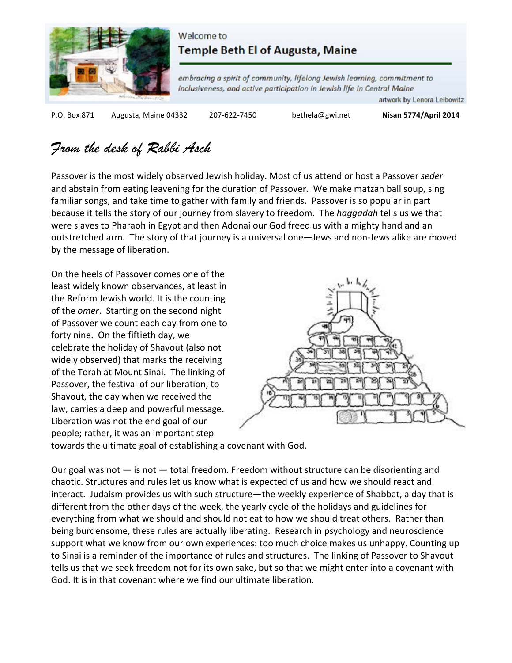

### Welcome to Temple Beth El of Augusta, Maine

embracing a spirit of community, lifelong Jewish learning, commitment to inclusiveness, and active participation in Jewish life in Central Maine

artwork by Lenora Leibowitz

P.O. Box 871 Augusta, Maine 04332 207-622-7450 bethela@gwi.net **Nisan 5774/April 2014** 

## From the desk of Rabbi Asch

Passover is the most widely observed Jewish holiday. Most of us attend or host a Passover *seder* and abstain from eating leavening for the duration of Passover. We make matzah ball soup, sing familiar songs, and take time to gather with family and friends. Passover is so popular in part because it tells the story of our journey from slavery to freedom. The *haggadah* tells us we that were slaves to Pharaoh in Egypt and then Adonai our God freed us with a mighty hand and an outstretched arm. The story of that journey is a universal one—Jews and non-Jews alike are moved by the message of liberation.

On the heels of Passover comes one of the least widely known observances, at least in the Reform Jewish world. It is the counting of the *omer*. Starting on the second night of Passover we count each day from one to forty nine. On the fiftieth day, we celebrate the holiday of Shavout (also not widely observed) that marks the receiving of the Torah at Mount Sinai. The linking of Passover, the festival of our liberation, to Shavout, the day when we received the law, carries a deep and powerful message. Liberation was not the end goal of our people; rather, it was an important step



towards the ultimate goal of establishing a covenant with God.

Our goal was not  $-$  is not  $-$  total freedom. Freedom without structure can be disorienting and chaotic. Structures and rules let us know what is expected of us and how we should react and interact. Judaism provides us with such structure—the weekly experience of Shabbat, a day that is different from the other days of the week, the yearly cycle of the holidays and guidelines for everything from what we should and should not eat to how we should treat others. Rather than being burdensome, these rules are actually liberating. Research in psychology and neuroscience support what we know from our own experiences: too much choice makes us unhappy. Counting up to Sinai is a reminder of the importance of rules and structures. The linking of Passover to Shavout tells us that we seek freedom not for its own sake, but so that we might enter into a covenant with God. It is in that covenant where we find our ultimate liberation.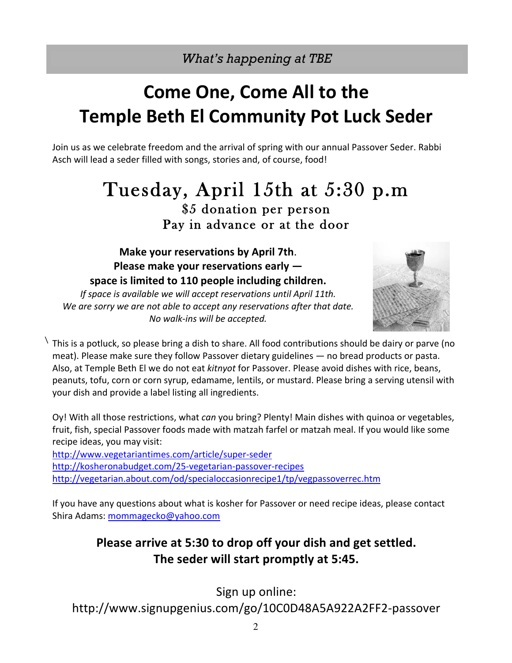*What's happening at TBE*

## **Come One, Come All to the Temple Beth El Community Pot Luck Seder**

Join us as we celebrate freedom and the arrival of spring with our annual Passover Seder. Rabbi Asch will lead a seder filled with songs, stories and, of course, food!

# Tuesday, April 15th at 5:30 p.m<br>\$5 donation per person Pay in advance or at the door

**Make your reservations by April 7th. Please make your reservations early** space is limited to 110 people including children.

*If space is available we will accept reservations until April 11th.* We are sorry we are not able to accept any reservations after that date. *No walk-ins will be accepted.*



 $\sqrt{2}$ This is a potluck, so please bring a dish to share. All food contributions should be dairy or parve (no meat). Please make sure they follow Passover dietary guidelines  $-$  no bread products or pasta. Also, at Temple Beth El we do not eat *kitnyot* for Passover. Please avoid dishes with rice, beans, peanuts, tofu, corn or corn syrup, edamame, lentils, or mustard. Please bring a serving utensil with your dish and provide a label listing all ingredients.

Oy! With all those restrictions, what *can* you bring? Plenty! Main dishes with quinoa or vegetables, fruit, fish, special Passover foods made with matzah farfel or matzah meal. If you would like some recipe ideas, you may visit:

http://www.vegetariantimes.com/article/super-seder http://kosheronabudget.com/25-vegetarian-passover-recipes http://vegetarian.about.com/od/specialoccasionrecipe1/tp/vegpassoverrec.htm

If you have any questions about what is kosher for Passover or need recipe ideas, please contact Shira Adams: mommagecko@yahoo.com

## **Please arrive at 5:30 to drop off your dish and get settled.** The seder will start promptly at 5:45.

Sign up online:

http://www.signupgenius.com/go/10C0D48A5A922A2FF2-passover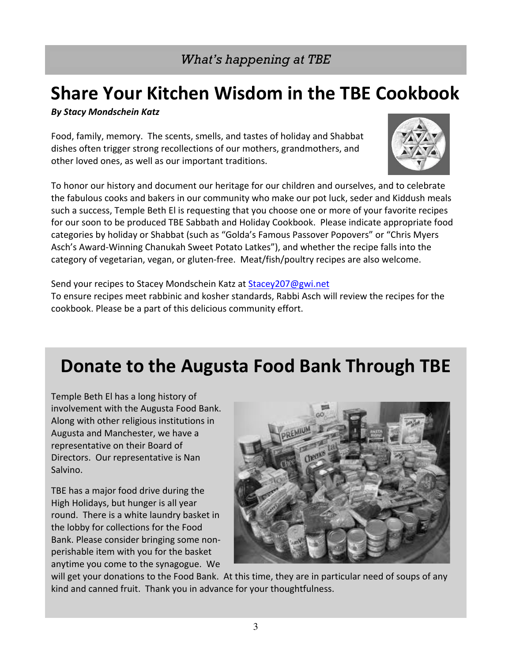## **Share Your Kitchen Wisdom in the TBE Cookbook**

*By Stacy Mondschein Katz* 

Food, family, memory. The scents, smells, and tastes of holiday and Shabbat dishes often trigger strong recollections of our mothers, grandmothers, and other loved ones, as well as our important traditions.

To honor our history and document our heritage for our children and ourselves, and to celebrate the fabulous cooks and bakers in our community who make our pot luck, seder and Kiddush meals such a success, Temple Beth El is requesting that you choose one or more of your favorite recipes for our soon to be produced TBE Sabbath and Holiday Cookbook. Please indicate appropriate food categories by holiday or Shabbat (such as "Golda's Famous Passover Popovers" or "Chris Myers Asch's Award-Winning Chanukah Sweet Potato Latkes"), and whether the recipe falls into the category of vegetarian, vegan, or gluten-free. Meat/fish/poultry recipes are also welcome.

Send your recipes to Stacey Mondschein Katz at Stacey207@gwi.net To ensure recipes meet rabbinic and kosher standards, Rabbi Asch will review the recipes for the cookbook. Please be a part of this delicious community effort.

## **Donate to the Augusta Food Bank Through TBE**

Temple Beth El has a long history of involvement with the Augusta Food Bank. Along with other religious institutions in Augusta and Manchester, we have a representative on their Board of Directors. Our representative is Nan Salvino. 

TBE has a major food drive during the High Holidays, but hunger is all year round. There is a white laundry basket in the lobby for collections for the Food Bank. Please consider bringing some nonperishable item with you for the basket anytime you come to the synagogue. We



will get your donations to the Food Bank. At this time, they are in particular need of soups of any kind and canned fruit. Thank you in advance for your thoughtfulness.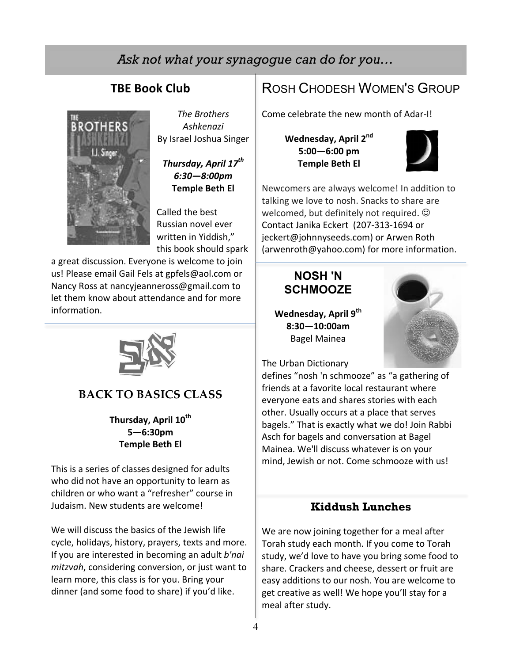## *Ask not what your synagogue can do for you…*

## **TBE Book Club**



**The Brothers** *Ashkenazi* By Israel Joshua Singer

*Thursday, April 17th 6:30—8:00pm*  **Temple Beth El**

Called the best Russian novel ever written in Yiddish." this book should spark

a great discussion. Everyone is welcome to join us! Please email Gail Fels at gpfels@aol.com or Nancy Ross at nancyjeanneross@gmail.com to let them know about attendance and for more information.



### **BACK TO BASICS CLASS**

Thursday, April 10<sup>th</sup> **5—6:30pm Temple Beth El**

This is a series of classes designed for adults who did not have an opportunity to learn as children or who want a "refresher" course in Judaism. New students are welcome!

We will discuss the basics of the Jewish life cycle, holidays, history, prayers, texts and more. If you are interested in becoming an adult *b'nai mitzvah*, considering conversion, or just want to learn more, this class is for you. Bring your dinner (and some food to share) if you'd like.

## ROSH CHODESH WOMEN'S GROUP

Come celebrate the new month of Adar-I!

Wednesday, April 2<sup>nd</sup> **5:00—6:00 pm Temple Beth El**



Newcomers are always welcome! In addition to talking we love to nosh. Snacks to share are welcomed, but definitely not required.  $\odot$ Contact Janika Eckert (207-313-1694 or jeckert@johnnyseeds.com) or Arwen Roth (arwenroth@yahoo.com) for more information.

## **NOSH 'N SCHMOOZE**

Wednesday, April 9<sup>th</sup> **8:30—10:00am** Bagel Mainea



The Urban Dictionary

defines "nosh 'n schmooze" as "a gathering of friends at a favorite local restaurant where everyone eats and shares stories with each other. Usually occurs at a place that serves bagels." That is exactly what we do! Join Rabbi Asch for bagels and conversation at Bagel Mainea. We'll discuss whatever is on your mind, Jewish or not. Come schmooze with us!

### **Kiddush Lunches**

We are now joining together for a meal after Torah study each month. If you come to Torah study, we'd love to have you bring some food to share. Crackers and cheese, dessert or fruit are easy additions to our nosh. You are welcome to get creative as well! We hope you'll stay for a meal after study.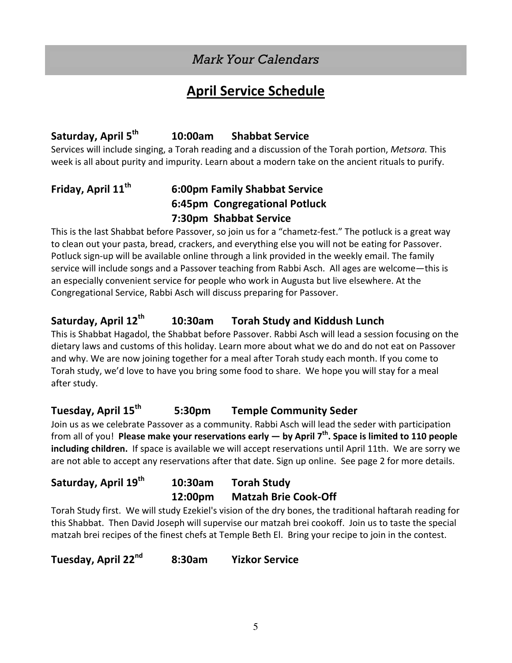## *Mark Your Calendars*

## **April Service Schedule**

## **Saturday, April 5th 10:00am Shabbat Service**

Services will include singing, a Torah reading and a discussion of the Torah portion, *Metsora*. This week is all about purity and impurity. Learn about a modern take on the ancient rituals to purify.

## **Friday, April 11th 6:00pm Family Shabbat Service 6:45pm Congregational Potluck 7:30pm Shabbat Service**

This is the last Shabbat before Passover, so join us for a "chametz-fest." The potluck is a great way to clean out your pasta, bread, crackers, and everything else you will not be eating for Passover. Potluck sign-up will be available online through a link provided in the weekly email. The family service will include songs and a Passover teaching from Rabbi Asch. All ages are welcome—this is an especially convenient service for people who work in Augusta but live elsewhere. At the Congregational Service, Rabbi Asch will discuss preparing for Passover.

### Saturday, April 12<sup>th</sup> 10:30am Torah Study and Kiddush Lunch

This is Shabbat Hagadol, the Shabbat before Passover. Rabbi Asch will lead a session focusing on the dietary laws and customs of this holiday. Learn more about what we do and do not eat on Passover and why. We are now joining together for a meal after Torah study each month. If you come to Torah study, we'd love to have you bring some food to share. We hope you will stay for a meal after study.

### **Tuesday, April 15th 5:30pm Temple Community Seder**

Join us as we celebrate Passover as a community. Rabbi Asch will lead the seder with participation from all of you! **Please make your reservations early — by April 7<sup>th</sup>. Space is limited to 110 people** including children. If space is available we will accept reservations until April 11th. We are sorry we are not able to accept any reservations after that date. Sign up online. See page 2 for more details.

| Saturday, April 19 <sup>th</sup> | 10:30am | <b>Torah Study</b>          |
|----------------------------------|---------|-----------------------------|
|                                  | 12:00pm | <b>Matzah Brie Cook-Off</b> |

Torah Study first. We will study Ezekiel's vision of the dry bones, the traditional haftarah reading for this Shabbat. Then David Joseph will supervise our matzah brei cookoff. Join us to taste the special matzah brei recipes of the finest chefs at Temple Beth El. Bring your recipe to join in the contest.

**Tuesday, April 22nd 8:30am Yizkor Service**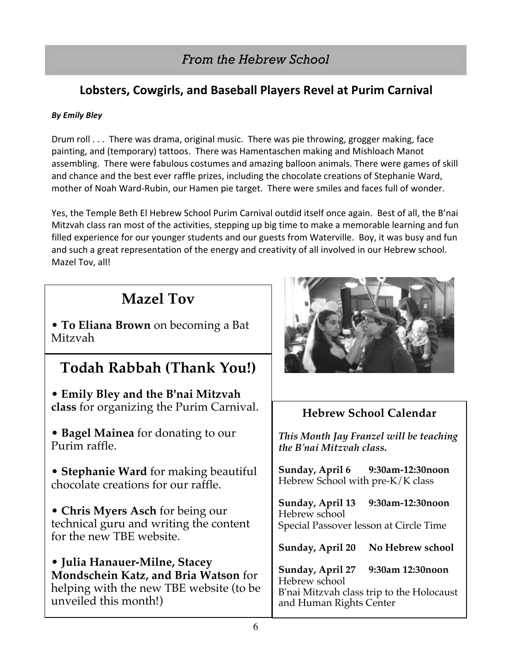## *From the Hebrew School*

## Lobsters, Cowgirls, and Baseball Players Revel at Purim Carnival

### *By Emily Bley*

Drum roll . . . There was drama, original music. There was pie throwing, grogger making, face painting, and (temporary) tattoos. There was Hamentaschen making and Mishloach Manot assembling. There were fabulous costumes and amazing balloon animals. There were games of skill and chance and the best ever raffle prizes, including the chocolate creations of Stephanie Ward, mother of Noah Ward-Rubin, our Hamen pie target. There were smiles and faces full of wonder.

Yes, the Temple Beth El Hebrew School Purim Carnival outdid itself once again. Best of all, the B'nai Mitzvah class ran most of the activities, stepping up big time to make a memorable learning and fun filled experience for our younger students and our guests from Waterville. Boy, it was busy and fun and such a great representation of the energy and creativity of all involved in our Hebrew school. Mazel Tov, all!

## **Mazel Tov**

• **To Eliana Brown** on becoming a Bat Mitzvah

## **Todah Rabbah (Thank You!)**

• **Emily Bley and the B'nai Mitzvah class** for organizing the Purim Carnival.

• **Bagel Mainea** for donating to our Purim raffle.

• **Stephanie Ward** for making beautiful chocolate creations for our raffle.

• **Chris Myers Asch** for being our technical guru and writing the content for the new TBE website.

• **Julia Hanauer-Milne, Stacey Mondschein Katz, and Bria Watson** for helping with the new TBE website (to be unveiled this month!)



## **Hebrew School Calendar**

*This Month Jay Franzel will be teaching the B'nai Mitzvah class.*

**Sunday, April 6 9:30am-12:30noon** Hebrew School with pre-K/K class

**Sunday, April 13 9:30am-12:30noon** Hebrew school Special Passover lesson at Circle Time

**Sunday, April 20 No Hebrew school**

**Sunday, April 27 9:30am 12:30noon** Hebrew school B'nai Mitzvah class trip to the Holocaust and Human Rights Center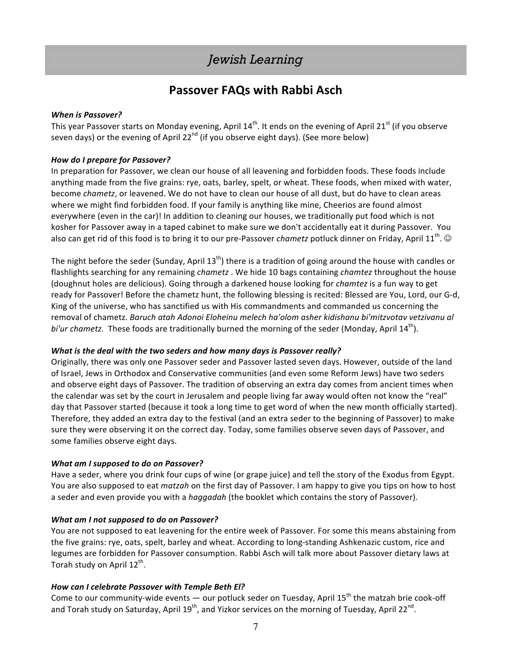## *Jewish Learning*

### **Passover FAQs with Rabbi Asch**

#### *When is Passover?*

This year Passover starts on Monday evening, April  $14^{th}$ . It ends on the evening of April 21<sup>st</sup> (if you observe seven days) or the evening of April 22<sup>nd</sup> (if you observe eight days). (See more below)

#### *How do I prepare for Passover?*

In preparation for Passover, we clean our house of all leavening and forbidden foods. These foods include anything made from the five grains: rye, oats, barley, spelt, or wheat. These foods, when mixed with water, become *chametz*, or leavened. We do not have to clean our house of all dust, but do have to clean areas where we might find forbidden food. If your family is anything like mine, Cheerios are found almost everywhere (even in the car)! In addition to cleaning our houses, we traditionally put food which is not kosher for Passover away in a taped cabinet to make sure we don't accidentally eat it during Passover. You also can get rid of this food is to bring it to our pre-Passover *chametz* potluck dinner on Friday, April 11<sup>th</sup>.  $\odot$ 

The night before the seder (Sunday, April 13<sup>th</sup>) there is a tradition of going around the house with candles or flashlights searching for any remaining *chametz* . We hide 10 bags containing *chamtez* throughout the house (doughnut holes are delicious). Going through a darkened house looking for *chamtez* is a fun way to get ready for Passover! Before the chametz hunt, the following blessing is recited: Blessed are You, Lord, our G-d, King of the universe, who has sanctified us with His commandments and commanded us concerning the removal of chametz. Baruch atah Adonoi Eloheinu melech ha'olom asher kidishanu bi'mitzvotav vetzivanu al *bi'ur* chametz. These foods are traditionally burned the morning of the seder (Monday, April  $14^{\text{th}}$ ).

#### *What is the deal with the two seders and how many days is Passover really?*

Originally, there was only one Passover seder and Passover lasted seven days. However, outside of the land of Israel, Jews in Orthodox and Conservative communities (and even some Reform Jews) have two seders and observe eight days of Passover. The tradition of observing an extra day comes from ancient times when the calendar was set by the court in Jerusalem and people living far away would often not know the "real" day that Passover started (because it took a long time to get word of when the new month officially started). Therefore, they added an extra day to the festival (and an extra seder to the beginning of Passover) to make sure they were observing it on the correct day. Today, some families observe seven days of Passover, and some families observe eight days.

#### *What am I supposed to do on Passover?*

Have a seder, where you drink four cups of wine (or grape juice) and tell the story of the Exodus from Egypt. You are also supposed to eat *matzah* on the first day of Passover. I am happy to give you tips on how to host a seder and even provide you with a *haggadah* (the booklet which contains the story of Passover).

#### *What am I not supposed to do on Passover?*

You are not supposed to eat leavening for the entire week of Passover. For some this means abstaining from the five grains: rye, oats, spelt, barley and wheat. According to long-standing Ashkenazic custom, rice and legumes are forbidden for Passover consumption. Rabbi Asch will talk more about Passover dietary laws at Torah study on April  $12^{th}$ .

#### How can I celebrate Passover with Temple Beth El?

Come to our community-wide events — our potluck seder on Tuesday, April 15<sup>th</sup> the matzah brie cook-off and Torah study on Saturday, April 19<sup>th</sup>, and Yizkor services on the morning of Tuesday, April 22<sup>nd</sup>.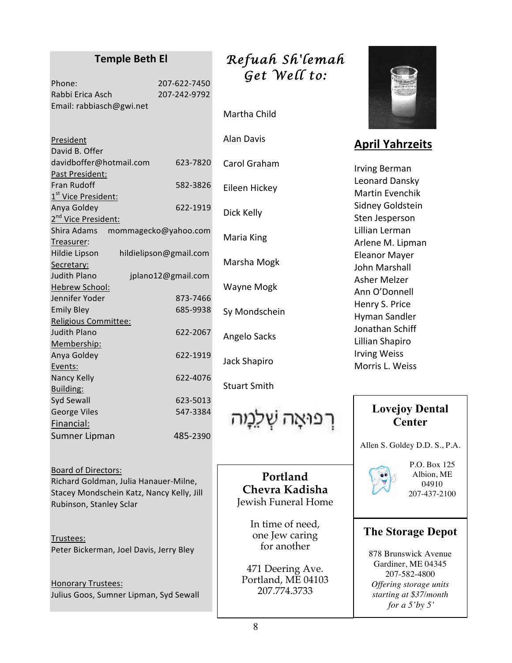### **Temple Beth El**

| Phone:                   | 207-622-7450 |
|--------------------------|--------------|
| Rabbi Erica Asch         | 207-242-9792 |
| Email: rabbiasch@gwi.net |              |

Richard Goldman, Julia Hanauer-Milne, Stacey Mondschein Katz, Nancy Kelly, Jill Rubinson, Stanley Sclar

Board of Directors:

Trustees: Peter Bickerman, Joel Davis, Jerry Bley

**Honorary Trustees:** Julius Goos, Sumner Lipman, Syd Sewall

## *Refuah Sh'lemah Get Well to:*

Martha Child

| Alan Davis          |
|---------------------|
| Carol Graham        |
| Eileen Hickey       |
| Dick Kelly          |
| Maria King          |
| Marsha Mogk         |
| Wayne Mogk          |
| Sy Mondschein       |
| Angelo Sacks        |
| Jack Shapiro        |
| <b>Stuart Smith</b> |
|                     |

רפואה שְׁלֵ**נְ**וּה

**Portland Chevra Kadisha** Jewish Funeral Home

> In time of need, one Jew caring for another

471 Deering Ave. Portland, ME 04103 207.774.3733



## **April Yahrzeits**

Irving Berman Leonard Dansky Martin Evenchik Sidney Goldstein Sten Jesperson Lillian Lerman Arlene M. Lipman Eleanor Mayer John Marshall Asher Melzer Ann O'Donnell Henry S. Price Hyman Sandler Jonathan Schiff Lillian Shapiro Irving Weiss Morris L. Weiss

### **Lovejoy Dental Center**

Allen S. Goldey D.D. S., P.A.



P.O. Box 125 Albion, ME 04910 207-437-2100

### **The Storage Depot**

878 Brunswick Avenue Gardiner, ME 04345 207-582-4800 *Offering storage units starting at \$37/month for a 5'by 5'*